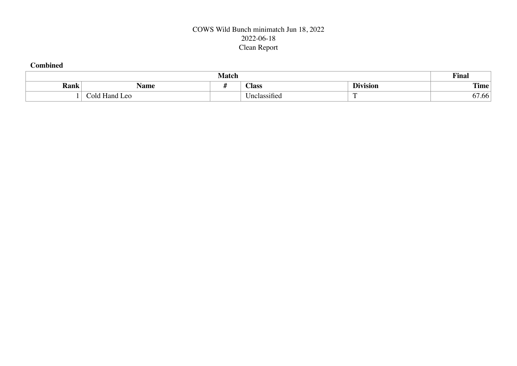## COWS Wild Bunch minimatch Jun 18, 2022 2022-06-18 Clean Report

#### **Combined**

| <b>Match</b> |                               |  |                         |                 |             |  |  |  |  |  |
|--------------|-------------------------------|--|-------------------------|-----------------|-------------|--|--|--|--|--|
| Rank         | Name                          |  | <b>Class</b>            | <b>Division</b> | <b>Time</b> |  |  |  |  |  |
|              | ⌒<br>Hand<br>ಂಗ<br><b>Leo</b> |  | $\sim$<br>Linciassitiec |                 | .) / .00    |  |  |  |  |  |